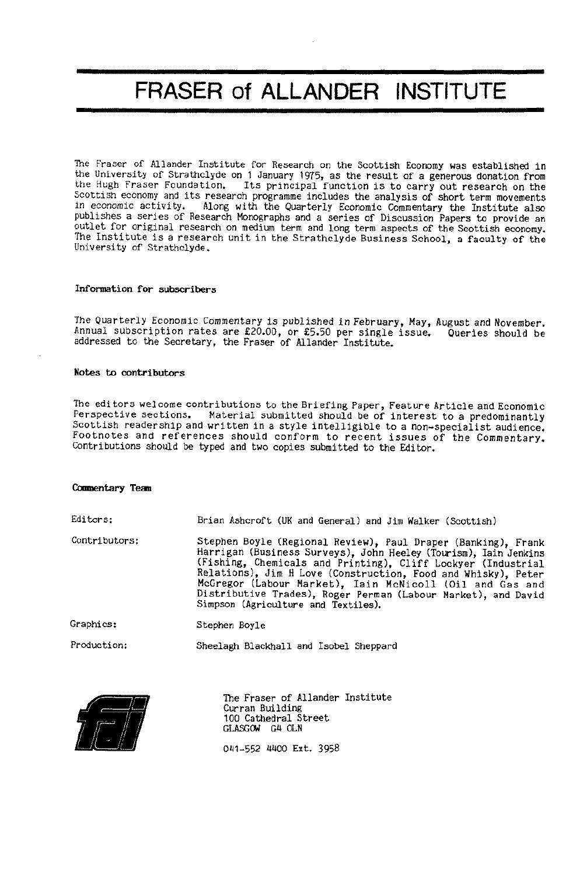# **FRASER of ALLANDER INSTITUTE**

The Fraser of Allander Institute for Research on the Scottish Economy was established in the University of Strathclyde on 1 January 1975, as the result of a generous donation from the Hugh Fraser Foundation. Its principal function is to carry out research on the Scottish economy and its research programme includes the analysis of short term movements<br>in economic activity. Along with the Quarterly Economic Commentary the Institute also Along with the Quarterly Economic Commentary the Institute also publishes a series of Research Monographs and a series of Discussion Papers to provide an outlet for original research on medium term and long term aspects of the Scottish economy. The Institute is a research unit in the Strathclyde Business School, a faculty of the University of Strathclyde.

#### **Information for subscribers**

The Quarterly Economic Commentary is published in February, May, August and November. Annual subscription rates are  $£20.00$ , or £5.50 per single issue. Queries should be addressed to the Secretary, the Fraser of Allander Institute.

#### **Notes to contributors**

The editors welcome contributions to the Briefing Paper, Feature Article and Economic Perspective sections. Material submitted should be of interest to a predominantly Scottish readership and written in a style intelligible to a non-specialist audience. Footnotes and references should conform to recent issues of the Commentary. Contributions should be typed and two copies submitted to the Editor.

#### **Comnentary Team**

| Editors:      | Brian Ashcroft (UK and General) and Jim Walker (Scottish)                                                                                                                                                                                                                                                                                                                                                                              |
|---------------|----------------------------------------------------------------------------------------------------------------------------------------------------------------------------------------------------------------------------------------------------------------------------------------------------------------------------------------------------------------------------------------------------------------------------------------|
| Contributors: | Stephen Boyle (Regional Review), Paul Draper (Banking), Frank<br>Harrigan (Business Surveys), John Heeley (Tourism), Iain Jenkins<br>(Fishing, Chemicals and Printing), Cliff Lockyer (Industrial<br>Relations), Jim H Love (Construction, Food and Whisky), Peter<br>McGregor (Labour Market), Iain McNicoll (Oil and Gas and<br>Distributive Trades), Roger Perman (Labour Market), and David<br>Simpson (Agriculture and Textiles). |
| Graphics:     | Stephen Boyle                                                                                                                                                                                                                                                                                                                                                                                                                          |

Production: Sheelagh Blackhall and Isobel Sheppard



The Fraser of Allander Institute Curran Building 100 Cathedral Street GLASGOW G4 0LN

041-552 4400 Ext. 3958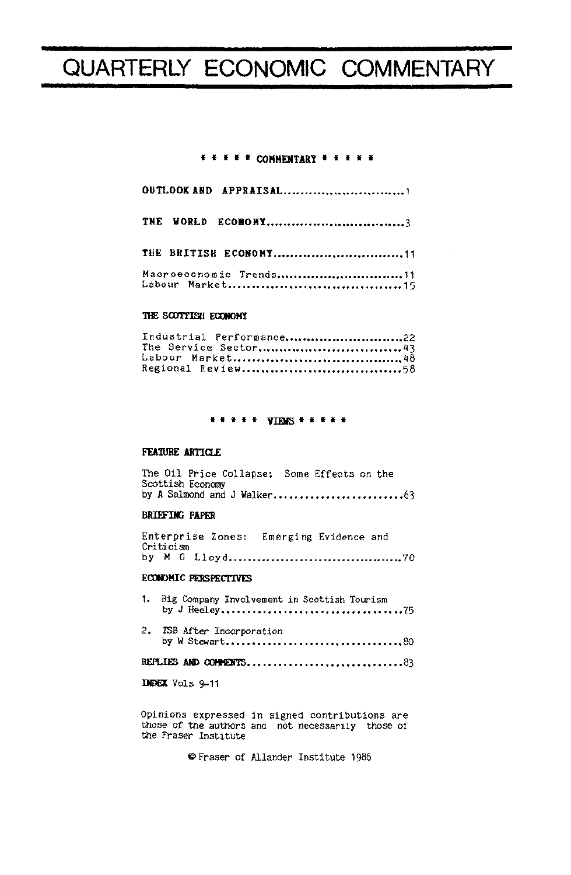# QUARTERLY ECONOMIC COMMENTARY

## \* \* \* \* \* COMMENTARY \* \* \* \* \*

|  | OUTLOOK AND APPRAISAL1 |  |
|--|------------------------|--|
|  | THE WORLD ECONOMY3     |  |
|  | THE BRITISH ECONOMY11  |  |
|  | Macroeconomic Trends11 |  |

#### THE SCOTTISH ECONOMY

| Industrial Performance22 |  |
|--------------------------|--|
| The Service Sector43     |  |
|                          |  |
|                          |  |

### \*\*\*\*\* VIBIS \*\*\*\*\*

#### FEATURE ARTICLE

|  | The Oil Price Collapse: Some Effects on the |  |  |  |  |  |  |  |  |  |
|--|---------------------------------------------|--|--|--|--|--|--|--|--|--|
|  | Scottish Economy                            |  |  |  |  |  |  |  |  |  |
|  | by A Salmond and J Walker63                 |  |  |  |  |  |  |  |  |  |

### **BRIEFING PAPER**

|           |  |  | Enterprise Zones: Emerging Evidence and |  |  |  |
|-----------|--|--|-----------------------------------------|--|--|--|
| Criticism |  |  |                                         |  |  |  |
|           |  |  |                                         |  |  |  |

#### **ECONOMIC PERSPECTIVES**

| 1. Big Company Involvement in Scottish Tourism |  |
|------------------------------------------------|--|
| 2. TSB After Incorporation<br>by W Stewart80   |  |

#### **INDEX** Vols 9-11

Opinions expressed in signed contributions are those of the authors and not necessarily those of the Fraser Institute

O Fraser of Allander Institute 1986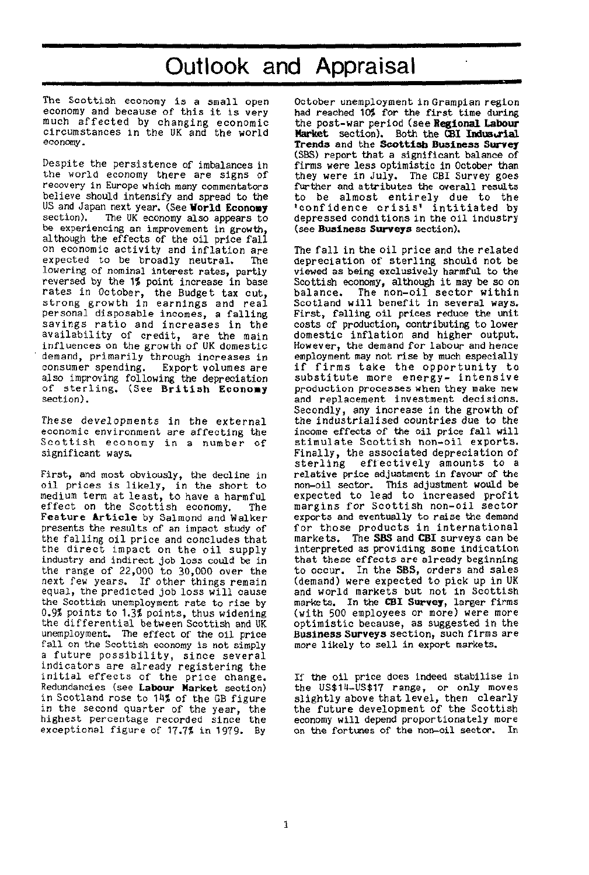# Outlook and Appraisal

The Scottish economy is a small open economy and because of this it is very much affected by changing economic circumstances in the UK and the world economy.

Despite the persistence of imbalances in the world economy there are signs of recovery in Europe which many commentators believe should intensify and spread to the US and Japan next year. (See **World Economy**  The UK economy also appears to be experiencing an improvement in growth, although the effects of the oil price fall on economic activity and inflation are expected to be broadly neutral. The lowering of nominal interest rates, partly reversed by the 1% point increase in base rates in October, the Budget tax cut, strong growth in earnings and real personal disposable incomes, a falling savings ratio and increases in the availability of credit, are the main influences on the growth of UK domestic demand, primarily through increases in consumer spending. Export volumes are also improving following the depreciation of sterling. (See British Economy section).

These developments in the external economic environment are affecting the Scottish economy in a number of significant ways.

First, and most obviously, the decline in oil prices is likely, in the short to medium term at least, to have a harmful effect on the Scottish economy. The Feature Article by Salmond and Walker presents the results of an impact study of the falling oil price and concludes that the direct impact on the oil supply industry and indirect job loss could be in the range of 22,000 to 30,000 over the next few years. If other things remain equal, the predicted job loss will cause the Scottish unemployment rate to rise by 0.9% points to 1.3\$ points, thus widening the differential between Scottish and UK unemployment. The effect of the oil price fall on the Scottish economy is not simply a future possibility, since several indicators are already registering the initial effects of the price change. Redundancies (see **Labour Market** section) in Scotland rose to 14% of the GB figure in the second quarter of the year, the highest percentage recorded since the exceptional figure of 17.7% in 1979. By

October unemployment in Grampian region had reached 10% for the first time during the post-war period (see **Regional Labour Market** section). Both the **CBI Industrial Trends** and the **Scottish Business Survey**  (SBS) report that a significant balance of firms were less optimistic in October than they were in July. The CBI Survey goes further and attributes the overall results to be almost entirely due to the 'confidence crisis' intitiated by depressed conditions in the oil industry (see **Business Surveys** section).

The fall in the oil price and the related depreciation of sterling should not be viewed as being exclusively harmful to the Scottish economy, although it may be so on<br>balance. The non-oil sector within The non-oil sector within Scotland will benefit in several ways. First, falling oil prices reduce the unit costs of production, contributing to lower domestic inflation and higher output. However, the demand for labour and hence employment may not rise by much especially if firms take the opportunity to substitute more energy- intensive production processes when they make new and replacement investment decisions. Secondly, any increase in the growth of the industrialised countries due to the income effects of the oil price fall will stimulate Scottish non-oil exports. Finally, the associated depreciation of sterling effectively amounts to a relative price adjustment in favour of the non-oil sector. This adjustment would be expected to lead to increased profit margins for Scottish non-oil sector exports and eventually to raise the demand for those products in international markets. The **SBS** and **CBI** surveys can be interpreted as providing some indication that these effects are already beginning to occur. In the **SBS,** orders and sales (demand) were expected to pick up in UK and world markets but not in Scottish markets. In the C**BI Survey,** larger firms (with 500 employees or more) were more optimistic because, as suggested in the **Business Surveys** section, such firms are more likely to sell in export markets.

If the oil price does indeed stabilise in the US\$14-US\$17 range, or only moves slightly above that level, then clearly the future development of the Scottish economy will depend proportionately more on the fortunes of the non-oil sector. In